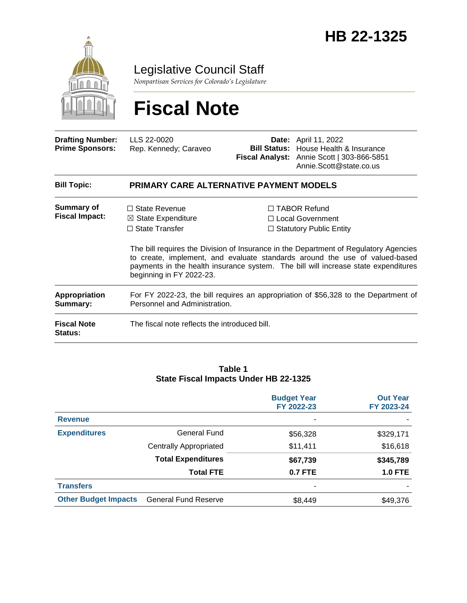

Legislative Council Staff

*Nonpartisan Services for Colorado's Legislature*

# **Fiscal Note**

| <b>Drafting Number:</b><br><b>Prime Sponsors:</b> | LLS 22-0020<br>Rep. Kennedy; Caraveo                                                                                                                                                                                                                                                  |                                                                             | <b>Date:</b> April 11, 2022<br><b>Bill Status:</b> House Health & Insurance<br>Fiscal Analyst: Annie Scott   303-866-5851<br>Annie.Scott@state.co.us |  |  |
|---------------------------------------------------|---------------------------------------------------------------------------------------------------------------------------------------------------------------------------------------------------------------------------------------------------------------------------------------|-----------------------------------------------------------------------------|------------------------------------------------------------------------------------------------------------------------------------------------------|--|--|
| <b>Bill Topic:</b>                                | <b>PRIMARY CARE ALTERNATIVE PAYMENT MODELS</b>                                                                                                                                                                                                                                        |                                                                             |                                                                                                                                                      |  |  |
| <b>Summary of</b><br><b>Fiscal Impact:</b>        | $\Box$ State Revenue<br>$\boxtimes$ State Expenditure<br>$\Box$ State Transfer                                                                                                                                                                                                        | $\Box$ TABOR Refund<br>□ Local Government<br>$\Box$ Statutory Public Entity |                                                                                                                                                      |  |  |
|                                                   | The bill requires the Division of Insurance in the Department of Regulatory Agencies<br>to create, implement, and evaluate standards around the use of valued-based<br>payments in the health insurance system. The bill will increase state expenditures<br>beginning in FY 2022-23. |                                                                             |                                                                                                                                                      |  |  |
| Appropriation<br>Summary:                         | For FY 2022-23, the bill requires an appropriation of \$56,328 to the Department of<br>Personnel and Administration.                                                                                                                                                                  |                                                                             |                                                                                                                                                      |  |  |
| <b>Fiscal Note</b><br>Status:                     | The fiscal note reflects the introduced bill.                                                                                                                                                                                                                                         |                                                                             |                                                                                                                                                      |  |  |

#### **Table 1 State Fiscal Impacts Under HB 22-1325**

|                             |                               | <b>Budget Year</b><br>FY 2022-23 | <b>Out Year</b><br>FY 2023-24 |
|-----------------------------|-------------------------------|----------------------------------|-------------------------------|
| <b>Revenue</b>              |                               | ٠                                |                               |
| <b>Expenditures</b>         | General Fund                  | \$56,328                         | \$329,171                     |
|                             | <b>Centrally Appropriated</b> | \$11,411                         | \$16,618                      |
|                             | <b>Total Expenditures</b>     | \$67,739                         | \$345,789                     |
|                             | <b>Total FTE</b>              | <b>0.7 FTE</b>                   | <b>1.0 FTE</b>                |
| <b>Transfers</b>            |                               | $\overline{\phantom{a}}$         |                               |
| <b>Other Budget Impacts</b> | <b>General Fund Reserve</b>   | \$8,449                          | \$49,376                      |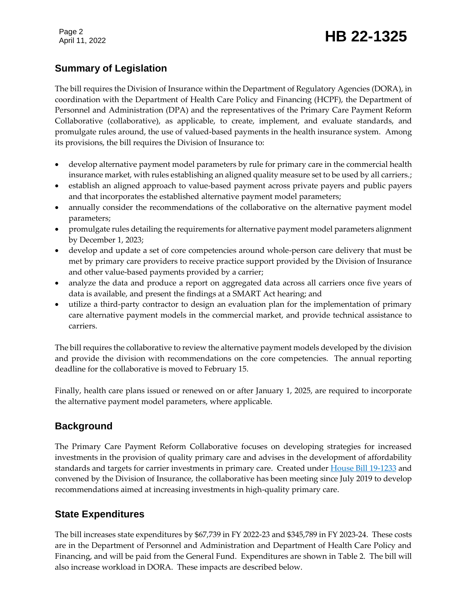Page 2

# Page 2<br>April 11, 2022 **HB 22-1325**

### **Summary of Legislation**

The bill requires the Division of Insurance within the Department of Regulatory Agencies (DORA), in coordination with the Department of Health Care Policy and Financing (HCPF), the Department of Personnel and Administration (DPA) and the representatives of the Primary Care Payment Reform Collaborative (collaborative), as applicable, to create, implement, and evaluate standards, and promulgate rules around, the use of valued-based payments in the health insurance system. Among its provisions, the bill requires the Division of Insurance to:

- develop alternative payment model parameters by rule for primary care in the commercial health insurance market, with rules establishing an aligned quality measure set to be used by all carriers.;
- establish an aligned approach to value-based payment across private payers and public payers and that incorporates the established alternative payment model parameters;
- annually consider the recommendations of the collaborative on the alternative payment model parameters;
- promulgate rules detailing the requirements for alternative payment model parameters alignment by December 1, 2023;
- develop and update a set of core competencies around whole-person care delivery that must be met by primary care providers to receive practice support provided by the Division of Insurance and other value-based payments provided by a carrier;
- analyze the data and produce a report on aggregated data across all carriers once five years of data is available, and present the findings at a SMART Act hearing; and
- utilize a third-party contractor to design an evaluation plan for the implementation of primary care alternative payment models in the commercial market, and provide technical assistance to carriers.

The bill requires the collaborative to review the alternative payment models developed by the division and provide the division with recommendations on the core competencies. The annual reporting deadline for the collaborative is moved to February 15.

Finally, health care plans issued or renewed on or after January 1, 2025, are required to incorporate the alternative payment model parameters, where applicable.

### **Background**

The Primary Care Payment Reform Collaborative focuses on developing strategies for increased investments in the provision of quality primary care and advises in the development of affordability standards and targets for carrier investments in primary care. Created under [House Bill 19-1233](https://leg.colorado.gov/bills/hb19-1233) and convened by the Division of Insurance, the collaborative has been meeting since July 2019 to develop recommendations aimed at increasing investments in high-quality primary care.

### **State Expenditures**

The bill increases state expenditures by \$67,739 in FY 2022-23 and \$345,789 in FY 2023-24. These costs are in the Department of Personnel and Administration and Department of Health Care Policy and Financing, and will be paid from the General Fund. Expenditures are shown in Table 2. The bill will also increase workload in DORA. These impacts are described below.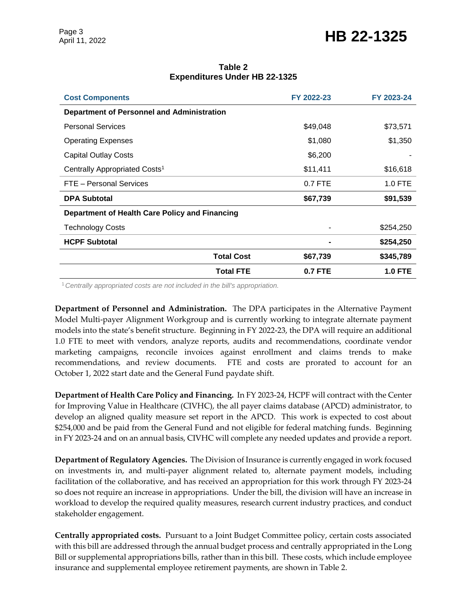## Page 3<br>April 11, 2022 **HB 22-1325**

| <b>Cost Components</b>                            | FY 2022-23     | FY 2023-24     |  |  |
|---------------------------------------------------|----------------|----------------|--|--|
| <b>Department of Personnel and Administration</b> |                |                |  |  |
| <b>Personal Services</b>                          | \$49,048       | \$73,571       |  |  |
| <b>Operating Expenses</b>                         | \$1,080        | \$1,350        |  |  |
| Capital Outlay Costs                              | \$6,200        |                |  |  |
| Centrally Appropriated Costs <sup>1</sup>         | \$11,411       | \$16,618       |  |  |
| FTE - Personal Services                           | $0.7$ FTE      | $1.0$ FTE      |  |  |
| <b>DPA Subtotal</b>                               | \$67,739       | \$91,539       |  |  |
| Department of Health Care Policy and Financing    |                |                |  |  |
| <b>Technology Costs</b>                           |                | \$254,250      |  |  |
| <b>HCPF Subtotal</b>                              |                | \$254,250      |  |  |
| <b>Total Cost</b>                                 | \$67,739       | \$345,789      |  |  |
| <b>Total FTE</b>                                  | <b>0.7 FTE</b> | <b>1.0 FTE</b> |  |  |

#### **Table 2 Expenditures Under HB 22-1325**

<sup>1</sup>*Centrally appropriated costs are not included in the bill's appropriation.*

**Department of Personnel and Administration.** The DPA participates in the Alternative Payment Model Multi-payer Alignment Workgroup and is currently working to integrate alternate payment models into the state's benefit structure. Beginning in FY 2022-23, the DPA will require an additional 1.0 FTE to meet with vendors, analyze reports, audits and recommendations, coordinate vendor marketing campaigns, reconcile invoices against enrollment and claims trends to make recommendations, and review documents. FTE and costs are prorated to account for an October 1, 2022 start date and the General Fund paydate shift.

**Department of Health Care Policy and Financing.** In FY 2023-24, HCPF will contract with the Center for Improving Value in Healthcare (CIVHC), the all payer claims database (APCD) administrator, to develop an aligned quality measure set report in the APCD. This work is expected to cost about \$254,000 and be paid from the General Fund and not eligible for federal matching funds. Beginning in FY 2023-24 and on an annual basis, CIVHC will complete any needed updates and provide a report.

**Department of Regulatory Agencies.** The Division of Insurance is currently engaged in work focused on investments in, and multi-payer alignment related to, alternate payment models, including facilitation of the collaborative, and has received an appropriation for this work through FY 2023-24 so does not require an increase in appropriations. Under the bill, the division will have an increase in workload to develop the required quality measures, research current industry practices, and conduct stakeholder engagement.

**Centrally appropriated costs.** Pursuant to a Joint Budget Committee policy, certain costs associated with this bill are addressed through the annual budget process and centrally appropriated in the Long Bill or supplemental appropriations bills, rather than in this bill. These costs, which include employee insurance and supplemental employee retirement payments, are shown in Table 2.